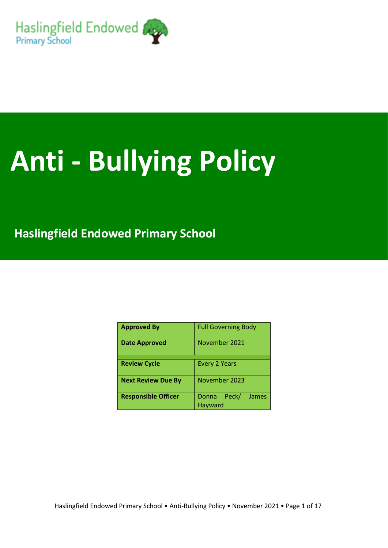

# **Anti - Bullying Policy**

**Haslingfield Endowed Primary School** 

| <b>Approved By</b>         | <b>Full Governing Body</b>         |
|----------------------------|------------------------------------|
| <b>Date Approved</b>       | November 2021                      |
|                            |                                    |
| <b>Review Cycle</b>        | <b>Every 2 Years</b>               |
| <b>Next Review Due By</b>  | November 2023                      |
| <b>Responsible Officer</b> | Peck/<br>Donna<br>James<br>Hayward |

Haslingfield Endowed Primary School • Anti-Bullying Policy • November 2021 • Page 1 of 17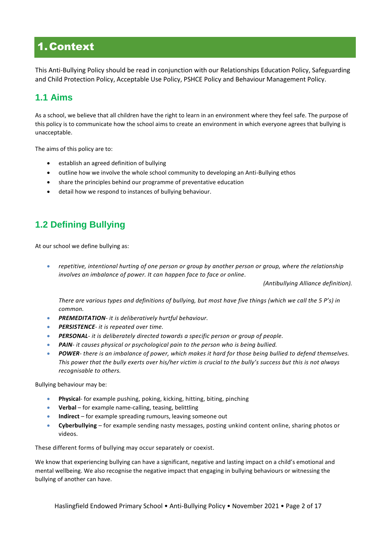# 1.Context

This Anti-Bullying Policy should be read in conjunction with our Relationships Education Policy, Safeguarding and Child Protection Policy, Acceptable Use Policy, PSHCE Policy and Behaviour Management Policy.

# **1.1 Aims**

As a school, we believe that all children have the right to learn in an environment where they feel safe. The purpose of this policy is to communicate how the school aims to create an environment in which everyone agrees that bullying is unacceptable.

The aims of this policy are to:

- establish an agreed definition of bullying
- outline how we involve the whole school community to developing an Anti-Bullying ethos
- share the principles behind our programme of preventative education
- detail how we respond to instances of bullying behaviour.

# **1.2 Defining Bullying**

At our school we define bullying as:

 *repetitive, intentional hurting of one person or group by another person or group, where the relationship involves an imbalance of power. It can happen face to face or online.*

 *(Antibullying Alliance definition).*

*There are various types and definitions of bullying, but most have five things (which we call the 5 P's) in common.* 

- *PREMEDITATION- it is deliberatively hurtful behaviour.*
- *PERSISTENCE- it is repeated over time.*
- *PERSONAL- it is deliberately directed towards a specific person or group of people.*
- *PAIN- it causes physical or psychological pain to the person who is being bullied.*
- *POWER- there is an imbalance of power, which makes it hard for those being bullied to defend themselves. This power that the bully exerts over his/her victim is crucial to the bully's success but this is not always recognisable to others.*

Bullying behaviour may be:

- **Physical** for example pushing, poking, kicking, hitting, biting, pinching
- **Verbal** for example name-calling, teasing, belittling
- **Indirect**  for example spreading rumours, leaving someone out
- **Cyberbullying** for example sending nasty messages, posting unkind content online, sharing photos or videos.

These different forms of bullying may occur separately or coexist.

We know that experiencing bullying can have a significant, negative and lasting impact on a child's emotional and mental wellbeing. We also recognise the negative impact that engaging in bullying behaviours or witnessing the bullying of another can have.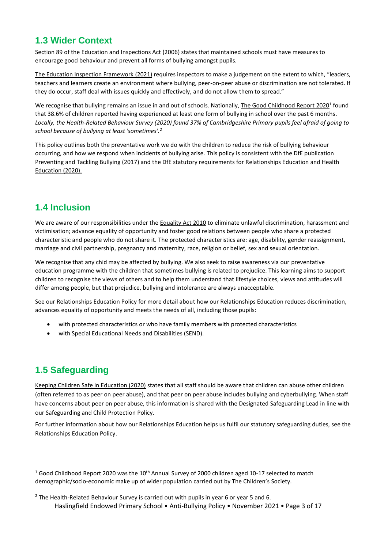# **1.3 Wider Context**

Section 89 of the [Education and Inspections Act \(2006\)](https://www.legislation.gov.uk/ukpga/2006/40/contents) states that maintained schools must have measures to encourage good behaviour and prevent all forms of bullying amongst pupils.

[The Education Inspection Framework \(2021\)](https://www.gov.uk/government/publications/education-inspection-framework) requires inspectors to make a judgement on the extent to which, "leaders, teachers and learners create an environment where bullying, peer-on-peer abuse or discrimination are not tolerated. If they do occur, staff deal with issues quickly and effectively, and do not allow them to spread."

We recognise that bullying remains an issue in and out of schools. Nationally[, The Good Childhood Report](https://www.childrenssociety.org.uk/good-childhood) 2020<sup>1</sup> found that 38.6% of children reported having experienced at least one form of bullying in school over the past 6 months. *Locally, the Health-Related Behaviour Survey (2020) found 37% of Cambridgeshire Primary pupils feel afraid of going to school because of bullying at least 'sometimes'.<sup>2</sup>*

This policy outlines both the preventative work we do with the children to reduce the risk of bullying behaviour occurring, and how we respond when incidents of bullying arise. This policy is consistent with the DfE publication [Preventing and Tackling Bullying \(2017\)](https://assets.publishing.service.gov.uk/government/uploads/system/uploads/attachment_data/file/623895/Preventing_and_tackling_bullying_advice.pdf) and the DfE statutory requirements for [Relationships Education and Health](https://assets.publishing.service.gov.uk/government/uploads/system/uploads/attachment_data/file/908013/Relationships_Education__Relationships_and_Sex_Education__RSE__and_Health_Education.pdf)  [Education \(2020\).](https://assets.publishing.service.gov.uk/government/uploads/system/uploads/attachment_data/file/908013/Relationships_Education__Relationships_and_Sex_Education__RSE__and_Health_Education.pdf)

# **1.4 Inclusion**

We are aware of our responsibilities under th[e Equality Act 2010](http://www.legislation.gov.uk/ukpga/2010/15/contents) to eliminate unlawful discrimination, harassment and victimisation; advance equality of opportunity and foster good relations between people who share a protected characteristic and people who do not share it. The protected characteristics are: age, disability, gender reassignment, marriage and civil partnership, pregnancy and maternity, race, religion or belief, sex and sexual orientation.

We recognise that any chid may be affected by bullying. We also seek to raise awareness via our preventative education programme with the children that sometimes bullying is related to prejudice. This learning aims to support children to recognise the views of others and to help them understand that lifestyle choices, views and attitudes will differ among people, but that prejudice, bullying and intolerance are always unacceptable.

See our Relationships Education Policy for more detail about how our Relationships Education reduces discrimination, advances equality of opportunity and meets the needs of all, including those pupils:

- with protected characteristics or who have family members with protected characteristics
- with Special Educational Needs and Disabilities (SEND).

# **1.5 Safeguarding**

1

[Keeping Children Safe in Education \(2020\)](https://www.gov.uk/government/publications/keeping-children-safe-in-education--2) states that all staff should be aware that children can abuse other children (often referred to as peer on peer abuse), and that peer on peer abuse includes bullying and cyberbullying. When staff have concerns about peer on peer abuse, this information is shared with the Designated Safeguarding Lead in line with our Safeguarding and Child Protection Policy.

For further information about how our Relationships Education helps us fulfil our statutory safeguarding duties, see the Relationships Education Policy.

<sup>&</sup>lt;sup>1</sup> Good Childhood Report 2020 was the 10<sup>th</sup> Annual Survey of 2000 children aged 10-17 selected to match demographic/socio-economic make up of wider population carried out by The Children's Society.

Haslingfield Endowed Primary School • Anti-Bullying Policy • November 2021 • Page 3 of 17 <sup>2</sup> The Health-Related Behaviour Survey is carried out with pupils in year 6 or year 5 and 6.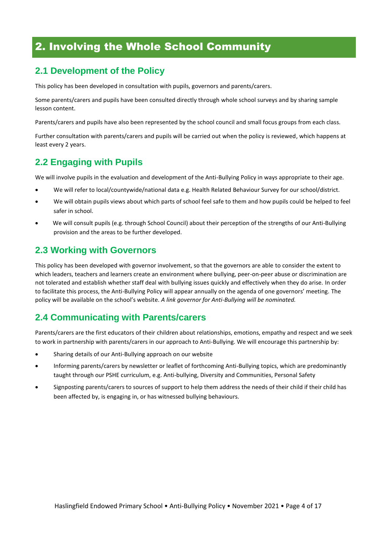# 2. Involving the Whole School Community

# **2.1 Development of the Policy**

This policy has been developed in consultation with pupils, governors and parents/carers.

Some parents/carers and pupils have been consulted directly through whole school surveys and by sharing sample lesson content.

Parents/carers and pupils have also been represented by the school council and small focus groups from each class.

Further consultation with parents/carers and pupils will be carried out when the policy is reviewed, which happens at least every 2 years.

# **2.2 Engaging with Pupils**

We will involve pupils in the evaluation and development of the Anti-Bullying Policy in ways appropriate to their age.

- We will refer to local/countywide/national data e.g. Health Related Behaviour Survey for our school/district.
- We will obtain pupils views about which parts of school feel safe to them and how pupils could be helped to feel safer in school.
- We will consult pupils (e.g. through School Council) about their perception of the strengths of our Anti-Bullying provision and the areas to be further developed.

## **2.3 Working with Governors**

This policy has been developed with governor involvement, so that the governors are able to consider the extent to which leaders, teachers and learners create an environment where bullying, peer-on-peer abuse or discrimination are not tolerated and establish whether staff deal with bullying issues quickly and effectively when they do arise. In order to facilitate this process, the Anti-Bullying Policy will appear annually on the agenda of one governors' meeting. The policy will be available on the school's website. *A link governor for Anti-Bullying will be nominated.*

## **2.4 Communicating with Parents/carers**

Parents/carers are the first educators of their children about relationships, emotions, empathy and respect and we seek to work in partnership with parents/carers in our approach to Anti-Bullying. We will encourage this partnership by:

- Sharing details of our Anti-Bullying approach on our website
- Informing parents/carers by newsletter or leaflet of forthcoming Anti-Bullying topics, which are predominantly taught through our PSHE curriculum, e.g. Anti-bullying, Diversity and Communities, Personal Safety
- Signposting parents/carers to sources of support to help them address the needs of their child if their child has been affected by, is engaging in, or has witnessed bullying behaviours.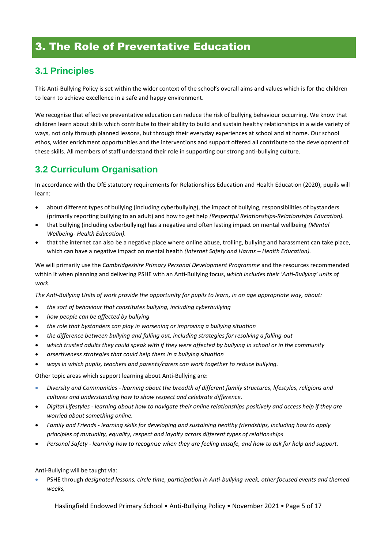# 3. The Role of Preventative Education

# **3.1 Principles**

This Anti-Bullying Policy is set within the wider context of the school's overall aims and values which is for the children to learn to achieve excellence in a safe and happy environment.

We recognise that effective preventative education can reduce the risk of bullying behaviour occurring. We know that children learn about skills which contribute to their ability to build and sustain healthy relationships in a wide variety of ways, not only through planned lessons, but through their everyday experiences at school and at home. Our school ethos, wider enrichment opportunities and the interventions and support offered all contribute to the development of these skills. All members of staff understand their role in supporting our strong anti-bullying culture.

# **3.2 Curriculum Organisation**

In accordance with the DfE statutory requirements for Relationships Education and Health Education (2020), pupils will learn:

- about different types of bullying (including cyberbullying), the impact of bullying, responsibilities of bystanders (primarily reporting bullying to an adult) and how to get help *(Respectful Relationships-Relationships Education).*
- that bullying (including cyberbullying) has a negative and often lasting impact on mental wellbeing *(Mental Wellbeing- Health Education).*
- that the internet can also be a negative place where online abuse, trolling, bullying and harassment can take place, which can have a negative impact on mental health *(Internet Safety and Harms – Health Education).*

We will primarily use the *Cambridgeshire Primary Personal Development Programme* and the resources recommended within it when planning and delivering PSHE with an Anti-Bullying focus, *which includes their 'Anti-Bullying' units of work.* 

*The Anti-Bullying Units of work provide the opportunity for pupils to learn, in an age appropriate way, about:*

- *the sort of behaviour that constitutes bullying, including cyberbullying*
- *how people can be affected by bullying*
- *the role that bystanders can play in worsening or improving a bullying situation*
- *the difference between bullying and falling out, including strategies for resolving a falling-out*
- *which trusted adults they could speak with if they were affected by bullying in school or in the community*
- *assertiveness strategies that could help them in a bullying situation*
- *ways in which pupils, teachers and parents/carers can work together to reduce bullying.*

Other topic areas which support learning about Anti-Bullying are:

- *Diversity and Communities - learning about the breadth of different family structures, lifestyles, religions and cultures and understanding how to show respect and celebrate difference.*
- *Digital Lifestyles - learning about how to navigate their online relationships positively and access help if they are worried about something online.*
- *Family and Friends - learning skills for developing and sustaining healthy friendships, including how to apply principles of mutuality, equality, respect and loyalty across different types of relationships*
- *Personal Safety - learning how to recognise when they are feeling unsafe, and how to ask for help and support.*

Anti-Bullying will be taught via:

 PSHE through *designated lessons, circle time, participation in Anti-bullying week, other focused events and themed weeks,*

Haslingfield Endowed Primary School • Anti-Bullying Policy • November 2021 • Page 5 of 17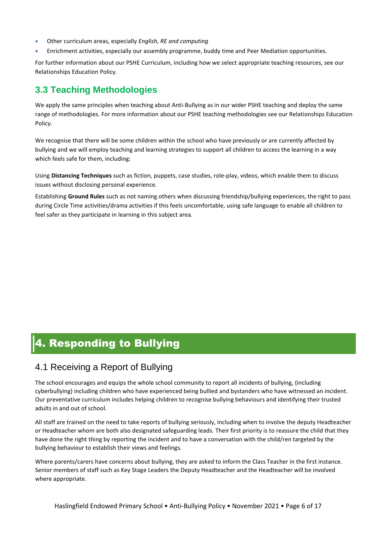- Other curriculum areas, especially *English, RE and computing*
- Enrichment activities, especially our assembly programme, buddy time and Peer Mediation opportunities.

For further information about our PSHE Curriculum, including how we select appropriate teaching resources, see our Relationships Education Policy.

## **3.3 Teaching Methodologies**

We apply the same principles when teaching about Anti-Bullying as in our wider PSHE teaching and deploy the same range of methodologies. For more information about our PSHE teaching methodologies see our Relationships Education Policy.

We recognise that there will be some children within the school who have previously or are currently affected by bullying and we will employ teaching and learning strategies to support all children to access the learning in a way which feels safe for them, including:

Using **Distancing Techniques** such as fiction, puppets, case studies, role-play, videos, which enable them to discuss issues without disclosing personal experience.

Establishing **Ground Rules** such as not naming others when discussing friendship/bullying experiences, the right to pass during Circle Time activities/drama activities if this feels uncomfortable, using safe language to enable all children to feel safer as they participate in learning in this subject area.

# 4. Responding to Bullying

# 4.1 Receiving a Report of Bullying

The school encourages and equips the whole school community to report all incidents of bullying, (including cyberbullying) including children who have experienced being bullied and bystanders who have witnessed an incident. Our preventative curriculum includes helping children to recognise bullying behaviours and identifying their trusted adults in and out of school.

All staff are trained on the need to take reports of bullying seriously, including when to involve the deputy Headteacher or Headteacher whom are both also designated safeguarding leads. Their first priority is to reassure the child that they have done the right thing by reporting the incident and to have a conversation with the child/ren targeted by the bullying behaviour to establish their views and feelings.

Where parents/carers have concerns about bullying, they are asked to inform the Class Teacher in the first instance. Senior members of staff such as Key Stage Leaders the Deputy Headteacher and the Headteacher will be involved where appropriate.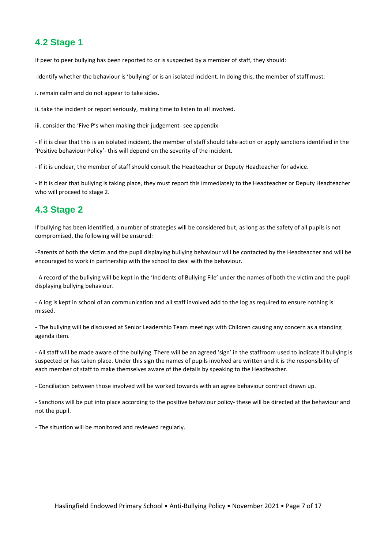# **4.2 Stage 1**

If peer to peer bullying has been reported to or is suspected by a member of staff, they should:

-Identify whether the behaviour is 'bullying' or is an isolated incident. In doing this, the member of staff must:

i. remain calm and do not appear to take sides.

ii. take the incident or report seriously, making time to listen to all involved.

iii. consider the 'Five P's when making their judgement- see appendix

- If it is clear that this is an isolated incident, the member of staff should take action or apply sanctions identified in the 'Positive behaviour Policy'- this will depend on the severity of the incident.

- If it is unclear, the member of staff should consult the Headteacher or Deputy Headteacher for advice.

- If it is clear that bullying is taking place, they must report this immediately to the Headteacher or Deputy Headteacher who will proceed to stage 2.

## **4.3 Stage 2**

If bullying has been identified, a number of strategies will be considered but, as long as the safety of all pupils is not compromised, the following will be ensured:

*-*Parents of both the victim and the pupil displaying bullying behaviour will be contacted by the Headteacher and will be encouraged to work in partnership with the school to deal with the behaviour.

- A record of the bullying will be kept in the 'Incidents of Bullying File' under the names of both the victim and the pupil displaying bullying behaviour.

- A log is kept in school of an communication and all staff involved add to the log as required to ensure nothing is missed.

- The bullying will be discussed at Senior Leadership Team meetings with Children causing any concern as a standing agenda item.

- All staff will be made aware of the bullying. There will be an agreed 'sign' in the staffroom used to indicate if bullying is suspected or has taken place. Under this sign the names of pupils involved are written and it is the responsibility of each member of staff to make themselves aware of the details by speaking to the Headteacher.

- Conciliation between those involved will be worked towards with an agree behaviour contract drawn up.

- Sanctions will be put into place according to the positive behaviour policy- these will be directed at the behaviour and not the pupil.

- The situation will be monitored and reviewed regularly.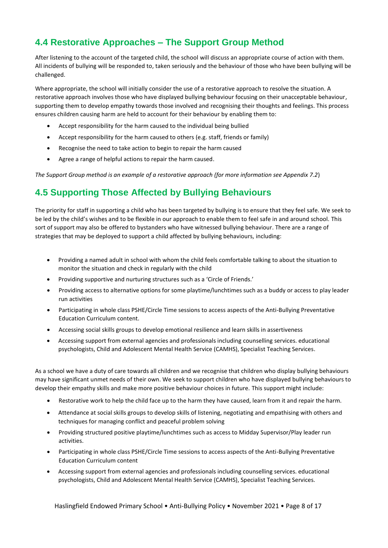# **4.4 Restorative Approaches – The Support Group Method**

After listening to the account of the targeted child, the school will discuss an appropriate course of action with them. All incidents of bullying will be responded to, taken seriously and the behaviour of those who have been bullying will be challenged.

Where appropriate, the school will initially consider the use of a restorative approach to resolve the situation. A restorative approach involves those who have displayed bullying behaviour focusing on their unacceptable behaviour, supporting them to develop empathy towards those involved and recognising their thoughts and feelings. This process ensures children causing harm are held to account for their behaviour by enabling them to:

- Accept responsibility for the harm caused to the individual being bullied
- Accept responsibility for the harm caused to others (e.g. staff, friends or family)
- Recognise the need to take action to begin to repair the harm caused
- Agree a range of helpful actions to repair the harm caused.

*The Support Group method is an example of a restorative approach (for more information see Appendix 7.2*)

# **4.5 Supporting Those Affected by Bullying Behaviours**

The priority for staff in supporting a child who has been targeted by bullying is to ensure that they feel safe. We seek to be led by the child's wishes and to be flexible in our approach to enable them to feel safe in and around school. This sort of support may also be offered to bystanders who have witnessed bullying behaviour. There are a range of strategies that may be deployed to support a child affected by bullying behaviours, including:

- Providing a named adult in school with whom the child feels comfortable talking to about the situation to monitor the situation and check in regularly with the child
- Providing supportive and nurturing structures such as a 'Circle of Friends.'
- Providing access to alternative options for some playtime/lunchtimes such as a buddy or access to play leader run activities
- Participating in whole class PSHE/Circle Time sessions to access aspects of the Anti-Bullying Preventative Education Curriculum content.
- Accessing social skills groups to develop emotional resilience and learn skills in assertiveness
- Accessing support from external agencies and professionals including counselling services. educational psychologists, Child and Adolescent Mental Health Service (CAMHS), Specialist Teaching Services.

As a school we have a duty of care towards all children and we recognise that children who display bullying behaviours may have significant unmet needs of their own. We seek to support children who have displayed bullying behaviours to develop their empathy skills and make more positive behaviour choices in future. This support might include:

- Restorative work to help the child face up to the harm they have caused, learn from it and repair the harm.
- Attendance at social skills groups to develop skills of listening, negotiating and empathising with others and techniques for managing conflict and peaceful problem solving
- Providing structured positive playtime/lunchtimes such as access to Midday Supervisor/Play leader run activities.
- Participating in whole class PSHE/Circle Time sessions to access aspects of the Anti-Bullying Preventative Education Curriculum content
- Accessing support from external agencies and professionals including counselling services. educational psychologists, Child and Adolescent Mental Health Service (CAMHS), Specialist Teaching Services.

Haslingfield Endowed Primary School • Anti-Bullying Policy • November 2021 • Page 8 of 17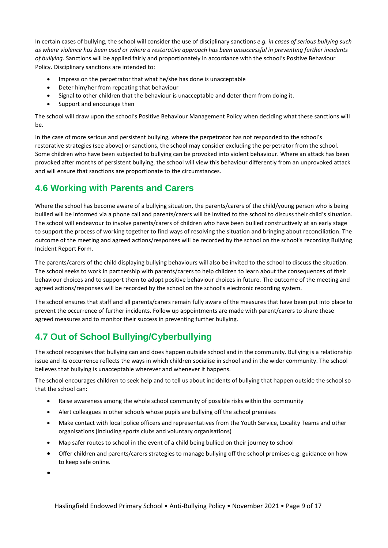In certain cases of bullying, the school will consider the use of disciplinary sanctions *e.g. in cases of serious bullying such as where violence has been used or where a restorative approach has been unsuccessful in preventing further incidents of bullying.* Sanctions will be applied fairly and proportionately in accordance with the school's Positive Behaviour Policy. Disciplinary sanctions are intended to:

- Impress on the perpetrator that what he/she has done is unacceptable
- Deter him/her from repeating that behaviour
- Signal to other children that the behaviour is unacceptable and deter them from doing it.
- Support and encourage then

The school will draw upon the school's Positive Behaviour Management Policy when deciding what these sanctions will be.

In the case of more serious and persistent bullying, where the perpetrator has not responded to the school's restorative strategies (see above) or sanctions, the school may consider excluding the perpetrator from the school. Some children who have been subjected to bullying can be provoked into violent behaviour. Where an attack has been provoked after months of persistent bullying, the school will view this behaviour differently from an unprovoked attack and will ensure that sanctions are proportionate to the circumstances.

# **4.6 Working with Parents and Carers**

Where the school has become aware of a bullying situation, the parents/carers of the child/young person who is being bullied will be informed via a phone call and parents/carers will be invited to the school to discuss their child's situation. The school will endeavour to involve parents/carers of children who have been bullied constructively at an early stage to support the process of working together to find ways of resolving the situation and bringing about reconciliation. The outcome of the meeting and agreed actions/responses will be recorded by the school on the school's recording Bullying Incident Report Form.

The parents/carers of the child displaying bullying behaviours will also be invited to the school to discuss the situation. The school seeks to work in partnership with parents/carers to help children to learn about the consequences of their behaviour choices and to support them to adopt positive behaviour choices in future. The outcome of the meeting and agreed actions/responses will be recorded by the school on the school's electronic recording system.

The school ensures that staff and all parents/carers remain fully aware of the measures that have been put into place to prevent the occurrence of further incidents. Follow up appointments are made with parent/carers to share these agreed measures and to monitor their success in preventing further bullying.

# **4.7 Out of School Bullying/Cyberbullying**

The school recognises that bullying can and does happen outside school and in the community. Bullying is a relationship issue and its occurrence reflects the ways in which children socialise in school and in the wider community. The school believes that bullying is unacceptable wherever and whenever it happens.

The school encourages children to seek help and to tell us about incidents of bullying that happen outside the school so that the school can:

- Raise awareness among the whole school community of possible risks within the community
- Alert colleagues in other schools whose pupils are bullying off the school premises
- Make contact with local police officers and representatives from the Youth Service, Locality Teams and other organisations (including sports clubs and voluntary organisations)
- Map safer routes to school in the event of a child being bullied on their journey to school
- Offer children and parents/carers strategies to manage bullying off the school premises e.g. guidance on how to keep safe online.

 $\bullet$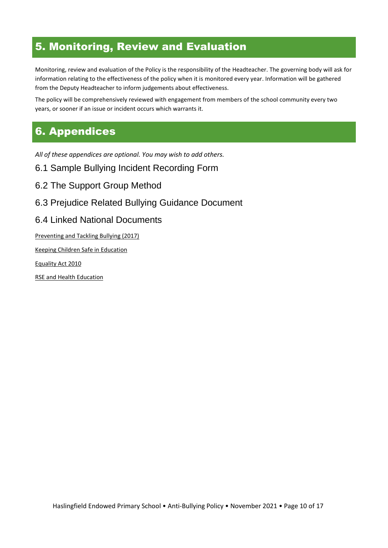# 5. Monitoring, Review and Evaluation

Monitoring, review and evaluation of the Policy is the responsibility of the Headteacher. The governing body will ask for information relating to the effectiveness of the policy when it is monitored every year. Information will be gathered from the Deputy Headteacher to inform judgements about effectiveness.

The policy will be comprehensively reviewed with engagement from members of the school community every two years, or sooner if an issue or incident occurs which warrants it.

# 6. Appendices

*All of these appendices are optional. You may wish to add others.*

- 6.1 Sample Bullying Incident Recording Form
- 6.2 The Support Group Method
- 6.3 Prejudice Related Bullying Guidance Document
- 6.4 Linked National Documents

[Preventing and Tackling Bullying \(2017\)](https://www.gov.uk/government/publications/preventing-and-tackling-bullying)

[Keeping Children Safe in Education](https://assets.publishing.service.gov.uk/government/uploads/system/uploads/attachment_data/file/835733/Keeping_children_safe_in_education_2019.pdf)

[Equality Act 2010](http://www.legislation.gov.uk/ukpga/2010/15/contents)

[RSE and Health Education](https://assets.publishing.service.gov.uk/government/uploads/system/uploads/attachment_data/file/805781/Relationships_Education__Relationships_and_Sex_Education__RSE__and_Health_Education.pdf)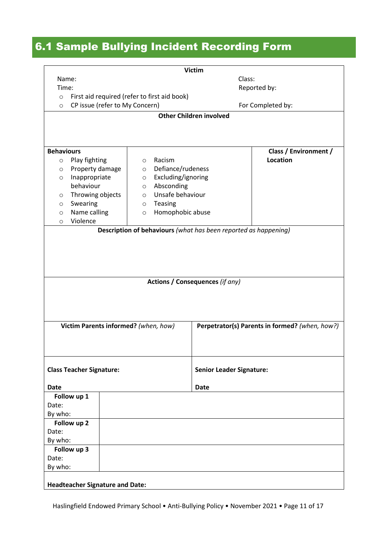# 6.1 Sample Bullying Incident Recording Form

| <b>Victim</b>                                                   |                                                |  |
|-----------------------------------------------------------------|------------------------------------------------|--|
| Name:                                                           | Class:                                         |  |
| Time:                                                           | Reported by:                                   |  |
| First aid required (refer to first aid book)<br>$\circ$         |                                                |  |
| CP issue (refer to My Concern)<br>$\circ$                       | For Completed by:                              |  |
| <b>Other Children involved</b>                                  |                                                |  |
|                                                                 |                                                |  |
|                                                                 |                                                |  |
| <b>Behaviours</b>                                               | Class / Environment /                          |  |
| Play fighting<br>Racism<br>$\circ$<br>$\circ$                   | Location                                       |  |
| Property damage<br>$\circ$<br>$\circ$                           | Defiance/rudeness                              |  |
| Excluding/ignoring<br>Inappropriate<br>$\circ$<br>$\circ$       |                                                |  |
| behaviour<br>Absconding<br>$\circ$                              |                                                |  |
| Unsafe behaviour<br>Throwing objects<br>$\circ$<br>$\circ$      |                                                |  |
| Swearing<br>Teasing<br>$\circ$<br>$\circ$                       |                                                |  |
| Name calling<br>$\circ$<br>$\circ$                              | Homophobic abuse                               |  |
| Violence<br>$\circ$                                             |                                                |  |
| Description of behaviours (what has been reported as happening) |                                                |  |
|                                                                 |                                                |  |
|                                                                 |                                                |  |
|                                                                 |                                                |  |
|                                                                 |                                                |  |
|                                                                 |                                                |  |
| <b>Actions / Consequences (if any)</b>                          |                                                |  |
|                                                                 |                                                |  |
|                                                                 |                                                |  |
|                                                                 |                                                |  |
|                                                                 |                                                |  |
| Victim Parents informed? (when, how)                            | Perpetrator(s) Parents in formed? (when, how?) |  |
|                                                                 |                                                |  |
|                                                                 |                                                |  |
|                                                                 |                                                |  |
|                                                                 |                                                |  |
| <b>Class Teacher Signature:</b>                                 | <b>Senior Leader Signature:</b>                |  |
|                                                                 |                                                |  |
| <b>Date</b>                                                     | <b>Date</b>                                    |  |
| Follow up 1                                                     |                                                |  |
| Date:                                                           |                                                |  |
| By who:                                                         |                                                |  |
| Follow up 2                                                     |                                                |  |
| Date:                                                           |                                                |  |
| By who:                                                         |                                                |  |
| Follow up 3                                                     |                                                |  |
| Date:                                                           |                                                |  |
| By who:                                                         |                                                |  |
|                                                                 |                                                |  |
| <b>Headteacher Signature and Date:</b>                          |                                                |  |

Haslingfield Endowed Primary School • Anti-Bullying Policy • November 2021 • Page 11 of 17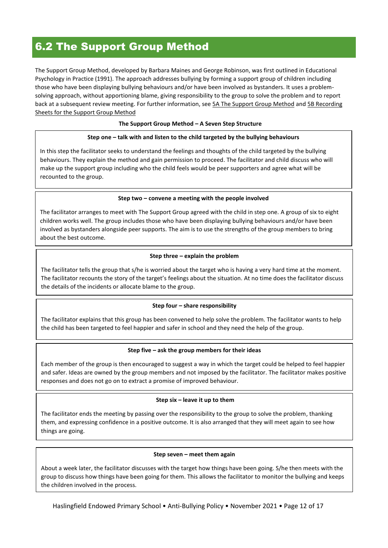# 6.2 The Support Group Method

The Support Group Method, developed by Barbara Maines and George Robinson, was first outlined in Educational Psychology in Practice (1991). The approach addresses bullying by forming a support group of children including those who have been displaying bullying behaviours and/or have been involved as bystanders. It uses a problemsolving approach, without apportioning blame, giving responsibility to the group to solve the problem and to report back at a subsequent review meeting. For further information, see [5A The Support Group Method](https://drive.google.com/open?id=0B8aya-vDwpehdGk3OXNpTTF5QnM) an[d 5B Recording](https://drive.google.com/open?id=0B8aya-vDwpehYUNLSWNGLWdHYVk)  [Sheets for the Support Group Method](https://drive.google.com/open?id=0B8aya-vDwpehYUNLSWNGLWdHYVk)

#### **The Support Group Method – A Seven Step Structure**

#### **Step one – talk with and listen to the child targeted by the bullying behaviours**

In this step the facilitator seeks to understand the feelings and thoughts of the child targeted by the bullying behaviours. They explain the method and gain permission to proceed. The facilitator and child discuss who will make up the support group including who the child feels would be peer supporters and agree what will be recounted to the group.

#### **Step two – convene a meeting with the people involved**

The facilitator arranges to meet with The Support Group agreed with the child in step one. A group of six to eight children works well. The group includes those who have been displaying bullying behaviours and/or have been involved as bystanders alongside peer supports. The aim is to use the strengths of the group members to bring about the best outcome.

#### **Step three – explain the problem**

The facilitator tells the group that s/he is worried about the target who is having a very hard time at the moment. The facilitator recounts the story of the target's feelings about the situation. At no time does the facilitator discuss the details of the incidents or allocate blame to the group.

#### **Step four – share responsibility**

The facilitator explains that this group has been convened to help solve the problem. The facilitator wants to help the child has been targeted to feel happier and safer in school and they need the help of the group.

#### **Step five – ask the group members for their ideas**

Each member of the group is then encouraged to suggest a way in which the target could be helped to feel happier and safer. Ideas are owned by the group members and not imposed by the facilitator. The facilitator makes positive responses and does not go on to extract a promise of improved behaviour.

#### **Step six – leave it up to them**

The facilitator ends the meeting by passing over the responsibility to the group to solve the problem, thanking them, and expressing confidence in a positive outcome. It is also arranged that they will meet again to see how things are going.

#### **Step seven – meet them again**

About a week later, the facilitator discusses with the target how things have been going. S/he then meets with the group to discuss how things have been going for them. This allows the facilitator to monitor the bullying and keeps the children involved in the process.

Haslingfield Endowed Primary School • Anti-Bullying Policy • November 2021 • Page 12 of 17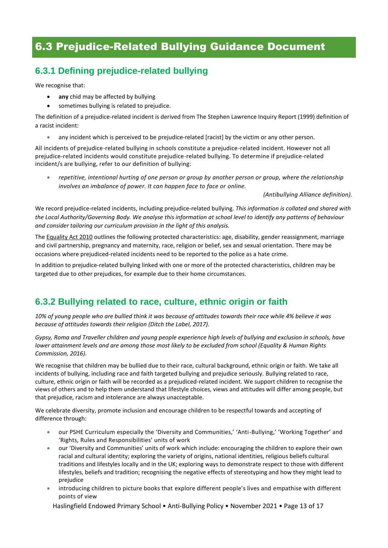# 6.3 Prejudice-Related Bullying Guidance Document

# **6.3.1 Defining prejudice-related bullying**

We recognise that:

- **any** chid may be affected by bullying
- sometimes bullying is related to prejudice.

The definition of a prejudice-related incident is derived from The Stephen Lawrence Inquiry Report (1999) definition of a racist incident:

any incident which is perceived to be prejudice-related [racist] by the victim or any other person.

All incidents of prejudice-related bullying in schools constitute a prejudice-related incident. However not all prejudice-related incidents would constitute prejudice-related bullying. To determine if prejudice-related incident/s are bullying, refer to our definition of bullying:

 *repetitive, intentional hurting of one person or group by another person or group, where the relationship involves an imbalance of power. It can happen face to face or online.*

 *(Antibullying Alliance definition).*

We record prejudice-related incidents, including prejudice-related bullying. *This information is collated and shared with the Local Authority/Governing Body. We analyse this information at school level to identify any patterns of behaviour and consider tailoring our curriculum provision in the light of this analysis.*

Th[e Equality Act 2010](http://www.legislation.gov.uk/ukpga/2010/15/contents) outlines the following protected characteristics: age, disability, gender reassignment, marriage and civil partnership, pregnancy and maternity, race, religion or belief, sex and sexual orientation. There may be occasions where prejudiced-related incidents need to be reported to the police as a hate crime.

In addition to prejudice-related bullying linked with one or more of the protected characteristics, children may be targeted due to other prejudices, for example due to their home circumstances.

# **6.3.2 Bullying related to race, culture, ethnic origin or faith**

*10% of young people who are bullied think it was because of attitudes towards their race while 4% believe it was because of attitudes towards their religion (Ditch the Label, 2017).*

*Gypsy, Roma and Traveller children and young people experience high levels of bullying and exclusion in schools, have lower attainment levels and are among those most likely to be excluded from school (Equality & Human Rights Commission, 2016).*

We recognise that children may be bullied due to their race, cultural background, ethnic origin or faith. We take all incidents of bullying, including race and faith targeted bullying and prejudice seriously. Bullying related to race, culture, ethnic origin or faith will be recorded as a prejudiced-related incident. We support children to recognise the views of others and to help them understand that lifestyle choices, views and attitudes will differ among people, but that prejudice, racism and intolerance are always unacceptable.

We celebrate diversity, promote inclusion and encourage children to be respectful towards and accepting of difference through:

- our PSHE Curriculum especially the 'Diversity and Communities,' 'Anti-Bullying,' 'Working Together' and 'Rights, Rules and Responsibilities' units of work
- our 'Diversity and Communities' units of work which include: encouraging the children to explore their own racial and cultural identity; exploring the variety of origins, national identities, religious beliefs cultural traditions and lifestyles locally and in the UK; exploring ways to demonstrate respect to those with different lifestyles, beliefs and tradition; recognising the negative effects of stereotyping and how they might lead to prejudice
- introducing children to picture books that explore different people's lives and empathise with different points of view

Haslingfield Endowed Primary School • Anti-Bullying Policy • November 2021 • Page 13 of 17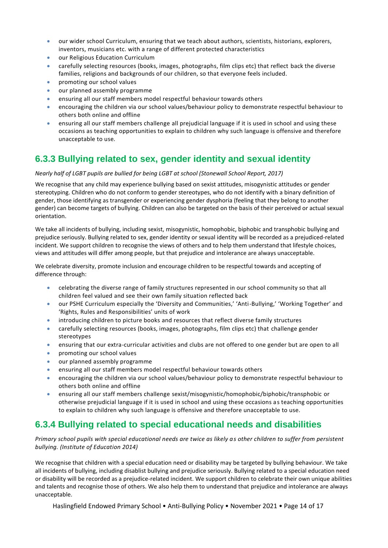- our wider school Curriculum, ensuring that we teach about authors, scientists, historians, explorers, inventors, musicians etc. with a range of different protected characteristics
- **•** our Religious Education Curriculum
- carefully selecting resources (books, images, photographs, film clips etc) that reflect back the diverse families, religions and backgrounds of our children, so that everyone feels included.
- promoting our school values
- our planned assembly programme
- ensuring all our staff members model respectful behaviour towards others
- encouraging the children via our school values/behaviour policy to demonstrate respectful behaviour to others both online and offline
- ensuring all our staff members challenge all prejudicial language if it is used in school and using these occasions as teaching opportunities to explain to children why such language is offensive and therefore unacceptable to use.

## **6.3.3 Bullying related to sex, gender identity and sexual identity**

#### *Nearly half of LGBT pupils are bullied for being LGBT at school (Stonewall School Report, 2017)*

We recognise that any child may experience bullying based on sexist attitudes, misogynistic attitudes or gender stereotyping. Children who do not conform to gender stereotypes, who do not identify with a binary definition of gender, those identifying as transgender or experiencing gender dysphoria (feeling that they belong to another gender) can become targets of bullying. Children can also be targeted on the basis of their perceived or actual sexual orientation.

We take all incidents of bullying, including sexist, misogynistic, homophobic, biphobic and transphobic bullying and prejudice seriously. Bullying related to sex, gender identity or sexual identity will be recorded as a prejudiced-related incident. We support children to recognise the views of others and to help them understand that lifestyle choices, views and attitudes will differ among people, but that prejudice and intolerance are always unacceptable.

We celebrate diversity, promote inclusion and encourage children to be respectful towards and accepting of difference through:

- celebrating the diverse range of family structures represented in our school community so that all children feel valued and see their own family situation reflected back
- our PSHE Curriculum especially the 'Diversity and Communities,' 'Anti-Bullying,' 'Working Together' and 'Rights, Rules and Responsibilities' units of work
- introducing children to picture books and resources that reflect diverse family structures
- carefully selecting resources (books, images, photographs, film clips etc) that challenge gender stereotypes
- ensuring that our extra-curricular activities and clubs are not offered to one gender but are open to all
- promoting our school values
- our planned assembly programme
- ensuring all our staff members model respectful behaviour towards others
- encouraging the children via our school values/behaviour policy to demonstrate respectful behaviour to others both online and offline
- ensuring all our staff members challenge sexist/misogynistic/homophobic/biphobic/transphobic or otherwise prejudicial language if it is used in school and using these occasions as teaching opportunities to explain to children why such language is offensive and therefore unacceptable to use.

## **6.3.4 Bullying related to special educational needs and disabilities**

*Primary school pupils with special educational needs are twice as likely as other children to suffer from persistent bullying. (Institute of Education 2014)*

We recognise that children with a special education need or disability may be targeted by bullying behaviour. We take all incidents of bullying, including disablist bullying and prejudice seriously. Bullying related to a special education need or disability will be recorded as a prejudice-related incident. We support children to celebrate their own unique abilities and talents and recognise those of others. We also help them to understand that prejudice and intolerance are always unacceptable.

Haslingfield Endowed Primary School • Anti-Bullying Policy • November 2021 • Page 14 of 17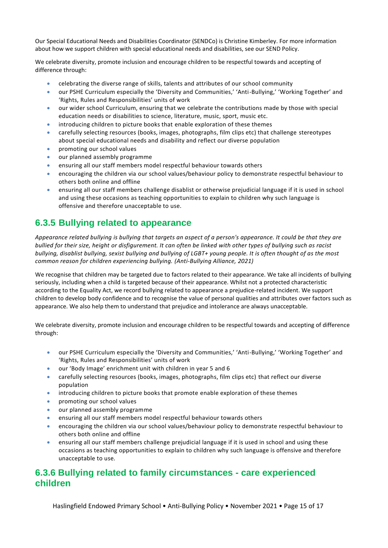Our Special Educational Needs and Disabilities Coordinator (SENDCo) is Christine Kimberley. For more information about how we support children with special educational needs and disabilities, see our SEND Policy.

We celebrate diversity, promote inclusion and encourage children to be respectful towards and accepting of difference through:

- celebrating the diverse range of skills, talents and attributes of our school community
- our PSHE Curriculum especially the 'Diversity and Communities,' 'Anti-Bullying,' 'Working Together' and 'Rights, Rules and Responsibilities' units of work
- our wider school Curriculum, ensuring that we celebrate the contributions made by those with special education needs or disabilities to science, literature, music, sport, music etc.
- introducing children to picture books that enable exploration of these themes
- carefully selecting resources (books, images, photographs, film clips etc) that challenge stereotypes about special educational needs and disability and reflect our diverse population
- promoting our school values
- our planned assembly programme
- ensuring all our staff members model respectful behaviour towards others
- encouraging the children via our school values/behaviour policy to demonstrate respectful behaviour to others both online and offline
- ensuring all our staff members challenge disablist or otherwise prejudicial language if it is used in school and using these occasions as teaching opportunities to explain to children why such language is offensive and therefore unacceptable to use.

## **6.3.5 Bullying related to appearance**

*Appearance related bullying is bullying that targets an aspect of a person's appearance. It could be that they are bullied for their size, height or disfigurement. It can often be linked with other types of bullying such as racist bullying, disablist bullying, sexist bullying and bullying of LGBT+ young people. It is often thought of as the most common reason for children experiencing bullying. (Anti-Bullying Alliance, 2021)*

We recognise that children may be targeted due to factors related to their appearance. We take all incidents of bullying seriously, including when a child is targeted because of their appearance. Whilst not a protected characteristic according to the Equality Act, we record bullying related to appearance a prejudice-related incident. We support children to develop body confidence and to recognise the value of personal qualities and attributes over factors such as appearance. We also help them to understand that prejudice and intolerance are always unacceptable.

We celebrate diversity, promote inclusion and encourage children to be respectful towards and accepting of difference through:

- our PSHE Curriculum especially the 'Diversity and Communities,' 'Anti-Bullying,' 'Working Together' and 'Rights, Rules and Responsibilities' units of work
- our 'Body Image' enrichment unit with children in year 5 and 6
- carefully selecting resources (books, images, photographs, film clips etc) that reflect our diverse population
- introducing children to picture books that promote enable exploration of these themes
- promoting our school values
- our planned assembly programme
- ensuring all our staff members model respectful behaviour towards others
- encouraging the children via our school values/behaviour policy to demonstrate respectful behaviour to others both online and offline
- ensuring all our staff members challenge prejudicial language if it is used in school and using these occasions as teaching opportunities to explain to children why such language is offensive and therefore unacceptable to use.

## **6.3.6 Bullying related to family circumstances - care experienced children**

Haslingfield Endowed Primary School • Anti-Bullying Policy • November 2021 • Page 15 of 17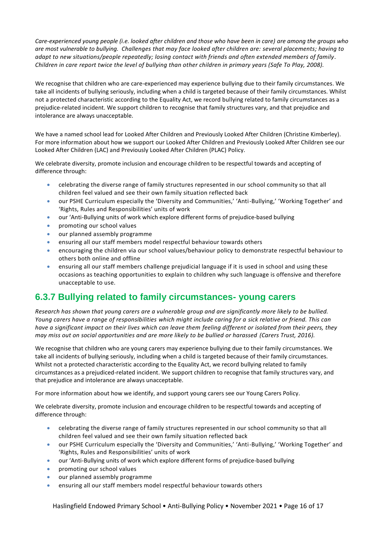*Care-experienced young people (i.e. looked after children and those who have been in care) are among the groups who are most vulnerable to bullying. Challenges that may face looked after children are: several placements; having to adapt to new situations/people repeatedly; losing contact with friends and often extended members of family. Children in care report twice the level of bullying than other children in primary years (Safe To Play, 2008).*

We recognise that children who are care-experienced may experience bullying due to their family circumstances. We take all incidents of bullying seriously, including when a child is targeted because of their family circumstances. Whilst not a protected characteristic according to the Equality Act, we record bullying related to family circumstances as a prejudice-related incident. We support children to recognise that family structures vary, and that prejudice and intolerance are always unacceptable.

We have a named school lead for Looked After Children and Previously Looked After Children (Christine Kimberley). For more information about how we support our Looked After Children and Previously Looked After Children see our Looked After Children (LAC) and Previously Looked After Children (PLAC) Policy.

We celebrate diversity, promote inclusion and encourage children to be respectful towards and accepting of difference through:

- celebrating the diverse range of family structures represented in our school community so that all children feel valued and see their own family situation reflected back
- our PSHE Curriculum especially the 'Diversity and Communities,' 'Anti-Bullying,' 'Working Together' and 'Rights, Rules and Responsibilities' units of work
- our 'Anti-Bullying units of work which explore different forms of prejudice-based bullying
- promoting our school values
- our planned assembly programme
- ensuring all our staff members model respectful behaviour towards others
- encouraging the children via our school values/behaviour policy to demonstrate respectful behaviour to others both online and offline
- ensuring all our staff members challenge prejudicial language if it is used in school and using these occasions as teaching opportunities to explain to children why such language is offensive and therefore unacceptable to use.

## **6.3.7 Bullying related to family circumstances- young carers**

*Research has shown that young carers are a vulnerable group and are significantly more likely to be bullied. Young carers have a range of responsibilities which might include caring for a sick relative or friend. This can have a significant impact on their lives which can leave them feeling different or isolated from their peers, they may miss out on social opportunities and are more likely to be bullied or harassed (Carers Trust, 2016).*

We recognise that children who are young carers may experience bullying due to their family circumstances. We take all incidents of bullying seriously, including when a child is targeted because of their family circumstances. Whilst not a protected characteristic according to the Equality Act, we record bullying related to family circumstances as a prejudiced-related incident. We support children to recognise that family structures vary, and that prejudice and intolerance are always unacceptable.

For more information about how we identify, and support young carers see our Young Carers Policy.

We celebrate diversity, promote inclusion and encourage children to be respectful towards and accepting of difference through:

- celebrating the diverse range of family structures represented in our school community so that all children feel valued and see their own family situation reflected back
- our PSHE Curriculum especially the 'Diversity and Communities,' 'Anti-Bullying,' 'Working Together' and 'Rights, Rules and Responsibilities' units of work
- our 'Anti-Bullying units of work which explore different forms of prejudice-based bullying
- promoting our school values
- our planned assembly programme
- ensuring all our staff members model respectful behaviour towards others

Haslingfield Endowed Primary School • Anti-Bullying Policy • November 2021 • Page 16 of 17